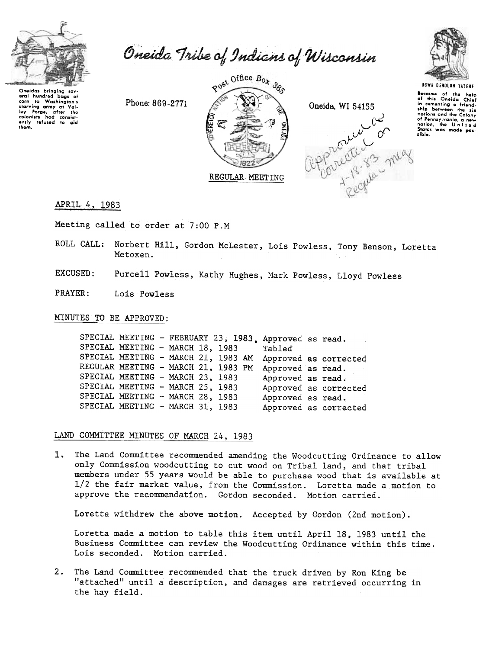

Oneida Tribe of Indians of Wisconsin

wrain nundred bags of<br>corn to Washington's<br>starving army at Vali-<br>ley Forge, after the<br>colonists had consist-<br>ently refused to aid<br>them. eral hundred bags of

Phone: 869-2771







**UGWA DENOLUN YATENE** 

Because of the help<br>of this Oneida Chief in comenting a friend.<br>
ship between the six nations and the Colony nations and the wolony<br>of Pennsylvania, a new<br>nation, the United<br>States was made possible.

APRIL 4, 1983

Meeting called to order at 7:00 P.M

ROLL CALL: Norbert Hill, Gordon McLester, Lois Powless, Tony Benson, Loretta Metoxen.

EXCUSED: Purcell Powless, Kathy Hughes, Mark Powless, Lloyd Powless

PRAYER: Lois Powless

MINUTES TO BE APPROVED:

SPECIAL MEETING - FEBRUARY 23, 1983, Approved as read. SPECIAL MEETING - MARCH 18, 1983 Tabled SPECIAL MEETING - MARCH 21, 1983 AM Approved as corrected REGULAR MEETING - MARCH 21, 1983 PM Approved as read. SPECIAL MEETING - MARCH 23, 1983 Approved as read. SPECIAL MEETING - MARCH 25, 1983 Approved as corrected SPECIAL MEETING - MARCH 28, 1983 Approved as read. SPECIAL MEETING - MARCH 31, 1983 Approved as corrected

LAND COMMITTEE MINUTES OF MARCH 24, 1983

1. The Land Committee recommended amending the Woodcutting Ordinance to allow only Commission woodcutting to cut wood on Tribal land, and that tribal members under 55 years would be able to purchase wood that is available at 1/2 the fair market value, from the Commission. Loretta made a motion to approve the recommendation. Gordon seconded. Motion carried.

Loretta withdrew the above motion. Accepted by Gordon (2nd motion).

Loretta made a motion to table this item until April 18, 1983 until the Business Committee can review the Woodcutting Ordinance within this time. Lois seconded. Motion carried.

2. The Land Committee recommended that the truck driven by Ron King be "attached" until a description, and damages are retrieved occurring in the hay field.